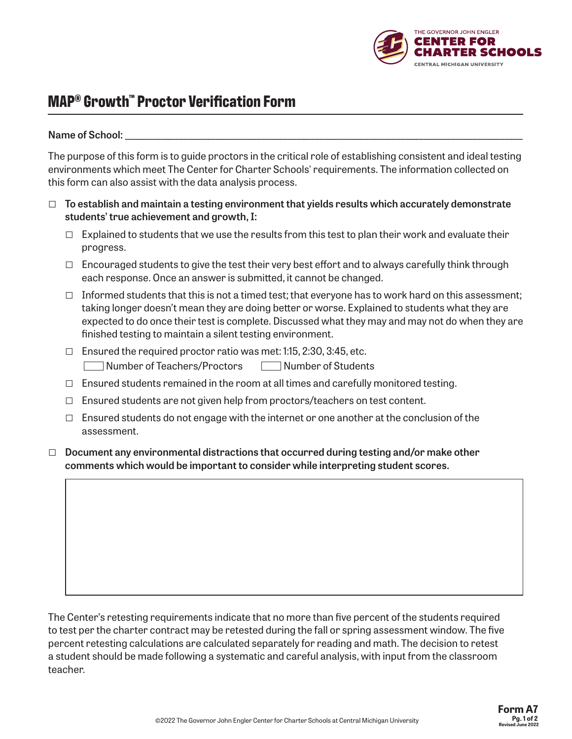

# **MAP® Growth™ Proctor Verification Form**

#### Name of School:

The purpose of this form is to guide proctors in the critical role of establishing consistent and ideal testing environments which meet The Center for Charter Schools' requirements. The information collected on this form can also assist with the data analysis process.

- □ **To establish and maintain a testing environment that yields results which accurately demonstrate students' true achievement and growth, I:**
	- $\Box$  Explained to students that we use the results from this test to plan their work and evaluate their progress.
	- □ Encouraged students to give the test their very best effort and to always carefully think through each response. Once an answer is submitted, it cannot be changed.
	- $\Box$  Informed students that this is not a timed test; that everyone has to work hard on this assessment; taking longer doesn't mean they are doing better or worse. Explained to students what they are expected to do once their test is complete. Discussed what they may and may not do when they are finished testing to maintain a silent testing environment.
	- $\Box$  Ensured the required proctor ratio was met: 1:15, 2:30, 3:45, etc. Number of Teachers/Proctors Mumber of Students
	- $\Box$  Ensured students remained in the room at all times and carefully monitored testing.
	- $\Box$  Ensured students are not given help from proctors/teachers on test content.
	- $\Box$  Ensured students do not engage with the internet or one another at the conclusion of the assessment.
- □ **Document any environmental distractions that occurred during testing and/or make other comments which would be important to consider while interpreting student scores.**

The Center's retesting requirements indicate that no more than five percent of the students required to test per the charter contract may be retested during the fall or spring assessment window. The five percent retesting calculations are calculated separately for reading and math. The decision to retest a student should be made following a systematic and careful analysis, with input from the classroom teacher.